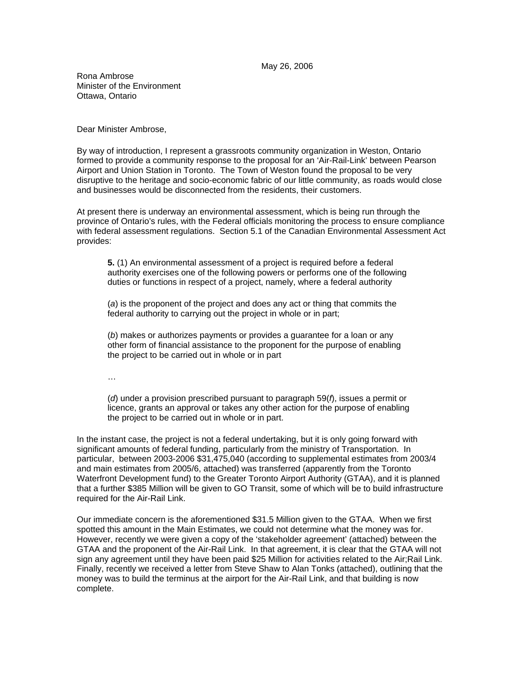## May 26, 2006

Rona Ambrose Minister of the Environment Ottawa, Ontario

Dear Minister Ambrose,

By way of introduction, I represent a grassroots community organization in Weston, Ontario formed to provide a community response to the proposal for an 'Air-Rail-Link' between Pearson Airport and Union Station in Toronto. The Town of Weston found the proposal to be very disruptive to the heritage and socio-economic fabric of our little community, as roads would close and businesses would be disconnected from the residents, their customers.

At present there is underway an environmental assessment, which is being run through the province of Ontario's rules, with the Federal officials monitoring the process to ensure compliance with federal assessment regulations. Section 5.1 of the Canadian Environmental Assessment Act provides:

**5.** (1) An environmental assessment of a project is required before a federal authority exercises one of the following powers or performs one of the following duties or functions in respect of a project, namely, where a federal authority

(*a*) is the proponent of the project and does any act or thing that commits the federal authority to carrying out the project in whole or in part;

(*b*) makes or authorizes payments or provides a guarantee for a loan or any other form of financial assistance to the proponent for the purpose of enabling the project to be carried out in whole or in part

…

(*d*) under a provision prescribed pursuant to paragraph 59(*f*), issues a permit or licence, grants an approval or takes any other action for the purpose of enabling the project to be carried out in whole or in part.

In the instant case, the project is not a federal undertaking, but it is only going forward with significant amounts of federal funding, particularly from the ministry of Transportation. In particular, between 2003-2006 \$31,475,040 (according to supplemental estimates from 2003/4 and main estimates from 2005/6, attached) was transferred (apparently from the Toronto Waterfront Development fund) to the Greater Toronto Airport Authority (GTAA), and it is planned that a further \$385 Million will be given to GO Transit, some of which will be to build infrastructure required for the Air-Rail Link.

Our immediate concern is the aforementioned \$31.5 Million given to the GTAA. When we first spotted this amount in the Main Estimates, we could not determine what the money was for. However, recently we were given a copy of the 'stakeholder agreement' (attached) between the GTAA and the proponent of the Air-Rail Link. In that agreement, it is clear that the GTAA will not sign any agreement until they have been paid \$25 Million for activities related to the Air;Rail Link. Finally, recently we received a letter from Steve Shaw to Alan Tonks (attached), outlining that the money was to build the terminus at the airport for the Air-Rail Link, and that building is now complete.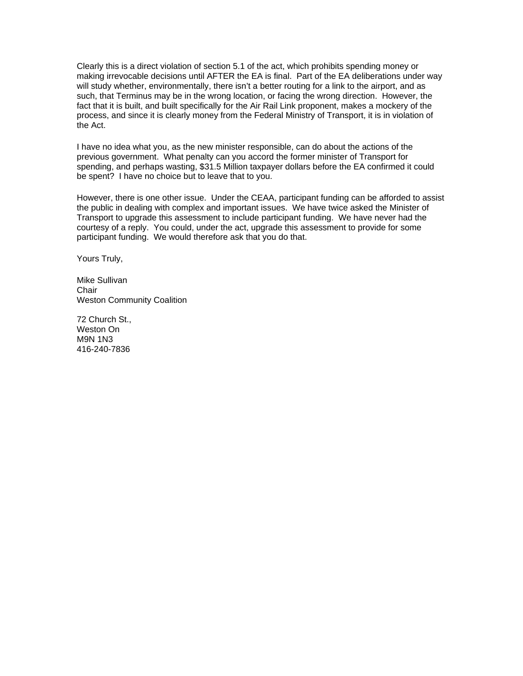Clearly this is a direct violation of section 5.1 of the act, which prohibits spending money or making irrevocable decisions until AFTER the EA is final. Part of the EA deliberations under way will study whether, environmentally, there isn't a better routing for a link to the airport, and as such, that Terminus may be in the wrong location, or facing the wrong direction. However, the fact that it is built, and built specifically for the Air Rail Link proponent, makes a mockery of the process, and since it is clearly money from the Federal Ministry of Transport, it is in violation of the Act.

I have no idea what you, as the new minister responsible, can do about the actions of the previous government. What penalty can you accord the former minister of Transport for spending, and perhaps wasting, \$31.5 Million taxpayer dollars before the EA confirmed it could be spent? I have no choice but to leave that to you.

However, there is one other issue. Under the CEAA, participant funding can be afforded to assist the public in dealing with complex and important issues. We have twice asked the Minister of Transport to upgrade this assessment to include participant funding. We have never had the courtesy of a reply. You could, under the act, upgrade this assessment to provide for some participant funding. We would therefore ask that you do that.

Yours Truly,

Mike Sullivan **Chair** Weston Community Coalition

72 Church St., Weston On M9N 1N3 416-240-7836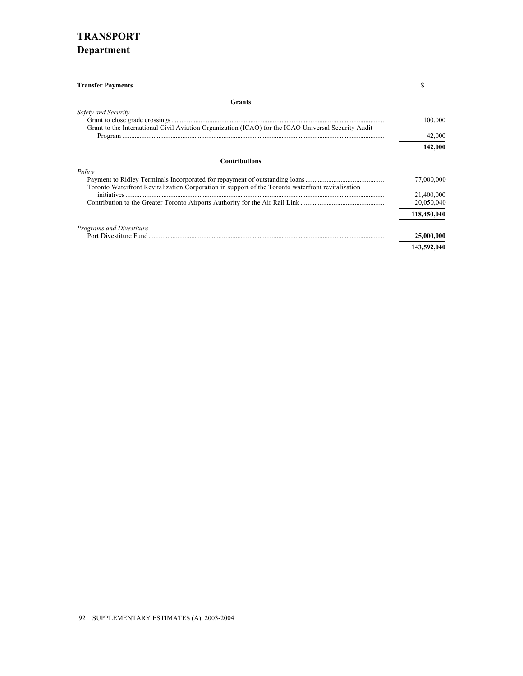## **TRANSPORT Department**

| <b>Transfer Payments</b>                                                                            |             |
|-----------------------------------------------------------------------------------------------------|-------------|
| Grants                                                                                              |             |
| Safety and Security                                                                                 | 100,000     |
| Grant to the International Civil Aviation Organization (ICAO) for the ICAO Universal Security Audit |             |
|                                                                                                     | 42,000      |
|                                                                                                     | 142,000     |
| <b>Contributions</b>                                                                                |             |
| Policy                                                                                              |             |
| Toronto Waterfront Revitalization Corporation in support of the Toronto waterfront revitalization   | 77,000,000  |
|                                                                                                     | 21,400,000  |
|                                                                                                     | 20,050,040  |
|                                                                                                     | 118,450,040 |
| <b>Programs and Divestiture</b>                                                                     |             |
|                                                                                                     | 25,000,000  |
|                                                                                                     | 143,592,040 |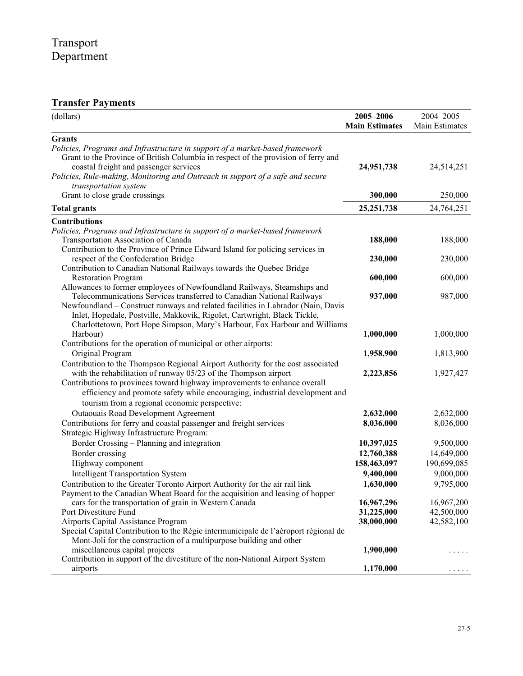# **Transfer Payments**

| (dollars)                                                                                                                                                                                                                                  | 2005-2006<br><b>Main Estimates</b> | 2004-2005<br>Main Estimates |
|--------------------------------------------------------------------------------------------------------------------------------------------------------------------------------------------------------------------------------------------|------------------------------------|-----------------------------|
| <b>Grants</b>                                                                                                                                                                                                                              |                                    |                             |
| Policies, Programs and Infrastructure in support of a market-based framework<br>Grant to the Province of British Columbia in respect of the provision of ferry and<br>coastal freight and passenger services                               | 24,951,738                         | 24,514,251                  |
| Policies, Rule-making, Monitoring and Outreach in support of a safe and secure<br>transportation system                                                                                                                                    |                                    |                             |
| Grant to close grade crossings                                                                                                                                                                                                             | 300,000                            | 250,000                     |
| <b>Total grants</b>                                                                                                                                                                                                                        | 25, 251, 738                       | 24,764,251                  |
| <b>Contributions</b>                                                                                                                                                                                                                       |                                    |                             |
| Policies, Programs and Infrastructure in support of a market-based framework                                                                                                                                                               |                                    |                             |
| Transportation Association of Canada                                                                                                                                                                                                       | 188,000                            | 188,000                     |
| Contribution to the Province of Prince Edward Island for policing services in                                                                                                                                                              |                                    |                             |
| respect of the Confederation Bridge                                                                                                                                                                                                        | 230,000                            | 230,000                     |
| Contribution to Canadian National Railways towards the Quebec Bridge                                                                                                                                                                       |                                    |                             |
| <b>Restoration Program</b><br>Allowances to former employees of Newfoundland Railways, Steamships and                                                                                                                                      | 600,000                            | 600,000                     |
| Telecommunications Services transferred to Canadian National Railways                                                                                                                                                                      | 937,000                            | 987,000                     |
| Newfoundland - Construct runways and related facilities in Labrador (Nain, Davis<br>Inlet, Hopedale, Postville, Makkovik, Rigolet, Cartwright, Black Tickle,<br>Charlottetown, Port Hope Simpson, Mary's Harbour, Fox Harbour and Williams |                                    |                             |
| Harbour)                                                                                                                                                                                                                                   | 1,000,000                          | 1,000,000                   |
| Contributions for the operation of municipal or other airports:                                                                                                                                                                            |                                    |                             |
| Original Program                                                                                                                                                                                                                           | 1,958,900                          | 1,813,900                   |
| Contribution to the Thompson Regional Airport Authority for the cost associated                                                                                                                                                            |                                    |                             |
| with the rehabilitation of runway 05/23 of the Thompson airport<br>Contributions to provinces toward highway improvements to enhance overall<br>efficiency and promote safety while encouraging, industrial development and                | 2,223,856                          | 1,927,427                   |
| tourism from a regional economic perspective:                                                                                                                                                                                              |                                    |                             |
| Outaouais Road Development Agreement                                                                                                                                                                                                       | 2,632,000<br>8,036,000             | 2,632,000<br>8,036,000      |
| Contributions for ferry and coastal passenger and freight services<br>Strategic Highway Infrastructure Program:                                                                                                                            |                                    |                             |
| Border Crossing - Planning and integration                                                                                                                                                                                                 | 10,397,025                         | 9,500,000                   |
| Border crossing                                                                                                                                                                                                                            | 12,760,388                         | 14,649,000                  |
| Highway component                                                                                                                                                                                                                          | 158,463,097                        | 190,699,085                 |
| <b>Intelligent Transportation System</b>                                                                                                                                                                                                   | 9,400,000                          | 9,000,000                   |
| Contribution to the Greater Toronto Airport Authority for the air rail link                                                                                                                                                                | 1,630,000                          | 9,795,000                   |
| Payment to the Canadian Wheat Board for the acquisition and leasing of hopper                                                                                                                                                              |                                    |                             |
| cars for the transportation of grain in Western Canada                                                                                                                                                                                     | 16,967,296                         | 16,967,200                  |
| Port Divestiture Fund                                                                                                                                                                                                                      | 31,225,000                         | 42,500,000                  |
| Airports Capital Assistance Program                                                                                                                                                                                                        | 38,000,000                         | 42,582,100                  |
| Special Capital Contribution to the Régie intermunicipale de l'aéroport régional de                                                                                                                                                        |                                    |                             |
| Mont-Joli for the construction of a multipurpose building and other                                                                                                                                                                        |                                    |                             |
| miscellaneous capital projects                                                                                                                                                                                                             | 1,900,000                          | $\cdots$                    |
| Contribution in support of the divestiture of the non-National Airport System<br>airports                                                                                                                                                  | 1,170,000                          | .                           |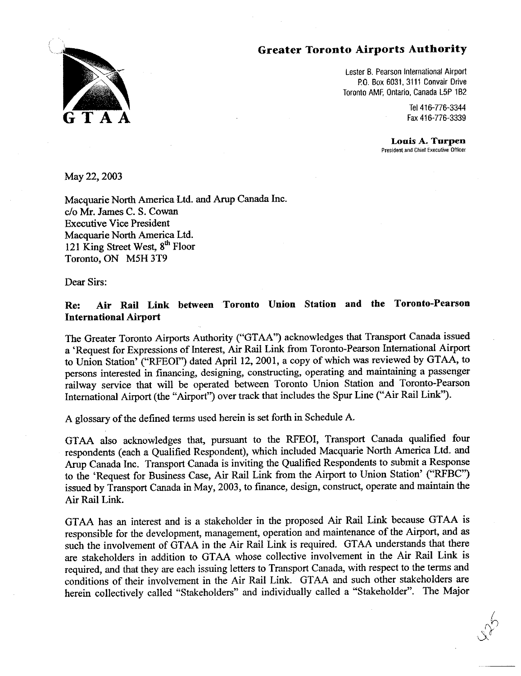

Lester B. Pearson International Airport P.O. Box 6031, 3111 Convair Drive Toronto AMF, Ontario, Canada L5P 1B2

> Tel 416-776-3344 Fax 416-776-3339

Louis A. Turpen President and Chief Executive Officer

May 22, 2003

Macquarie North America Ltd. and Arup Canada Inc. c/o Mr. James C. S. Cowan **Executive Vice President** Macquarie North America Ltd. 121 King Street West, 8<sup>th</sup> Floor Toronto, ON M5H 3T9

Dear Sirs:

## Air Rail Link between Toronto Union Station and the Toronto-Pearson Re: **International Airport**

The Greater Toronto Airports Authority ("GTAA") acknowledges that Transport Canada issued a 'Request for Expressions of Interest, Air Rail Link from Toronto-Pearson International Airport to Union Station' ("RFEOI") dated April 12, 2001, a copy of which was reviewed by GTAA, to persons interested in financing, designing, constructing, operating and maintaining a passenger railway service that will be operated between Toronto Union Station and Toronto-Pearson International Airport (the "Airport") over track that includes the Spur Line ("Air Rail Link").

A glossary of the defined terms used herein is set forth in Schedule A.

GTAA also acknowledges that, pursuant to the RFEOI, Transport Canada qualified four respondents (each a Qualified Respondent), which included Macquarie North America Ltd. and Arup Canada Inc. Transport Canada is inviting the Qualified Respondents to submit a Response to the 'Request for Business Case, Air Rail Link from the Airport to Union Station' ("RFBC") issued by Transport Canada in May, 2003, to finance, design, construct, operate and maintain the Air Rail Link.

GTAA has an interest and is a stakeholder in the proposed Air Rail Link because GTAA is responsible for the development, management, operation and maintenance of the Airport, and as such the involvement of GTAA in the Air Rail Link is required. GTAA understands that there are stakeholders in addition to GTAA whose collective involvement in the Air Rail Link is required, and that they are each issuing letters to Transport Canada, with respect to the terms and conditions of their involvement in the Air Rail Link. GTAA and such other stakeholders are herein collectively called "Stakeholders" and individually called a "Stakeholder". The Major

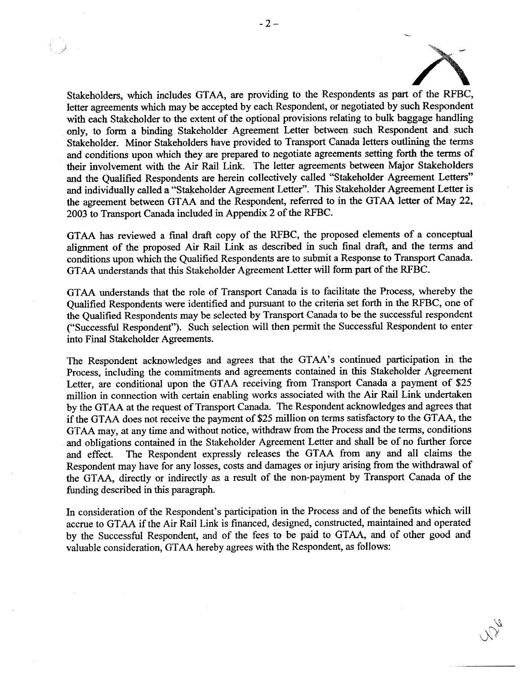Stakeholders, which includes GTAA, are providing to the Respondents as part of the RFBC, letter agreements which may be accepted by each Respondent, or negotiated by such Respondent with each Stakeholder to the extent of the optional provisions relating to bulk baggage handling only, to form a binding Stakeholder Agreement Letter between such Respondent and such Stakeholder. Minor Stakeholders have provided to Transport Canada letters outlining the terms and conditions upon which they are prepared to negotiate agreements setting forth the terms of their involvement with the Air Rail Link. The letter agreements between Major Stakeholders and the Qualified Respondents are herein collectively called "Stakeholder Agreement Letters" and individually called a "Stakeholder Agreement Letter". This Stakeholder Agreement Letter is the agreement between GTAA and the Respondent, referred to in the GTAA letter of May 22, 2003 to Transport Canada included in Appendix 2 of the RFBC.

GTAA has reviewed a final draft copy of the RFBC, the proposed elements of a conceptual alignment of the proposed Air Rail Link as described in such final draft, and the terms and conditions upon which the Qualified Respondents are to submit a Response to Transport Canada. GTAA understands that this Stakeholder Agreement Letter will form part of the RFBC.

GTAA understands that the role of Transport Canada is to facilitate the Process, whereby the Qualified Respondents were identified and pursuant to the criteria set forth in the RFBC, one of the Qualified Respondents may be selected by Transport Canada to be the successful respondent ("Successful Respondent"). Such selection will then permit the Successful Respondent to enter into Final Stakeholder Agreements.

The Respondent acknowledges and agrees that the GTAA's continued participation in the Process, including the commitments and agreements contained in this Stakeholder Agreement Letter, are conditional upon the GTAA receiving from Transport Canada a payment of \$25 million in connection with certain enabling works associated with the Air Rail Link undertaken by the GTAA at the request of Transport Canada. The Respondent acknowledges and agrees that if the GTAA does not receive the payment of \$25 million on terms satisfactory to the GTAA, the GTAA may, at any time and without notice, withdraw from the Process and the terms, conditions and obligations contained in the Stakeholder Agreement Letter and shall be of no further force The Respondent expressly releases the GTAA from any and all claims the and effect. Respondent may have for any losses, costs and damages or injury arising from the withdrawal of the GTAA, directly or indirectly as a result of the non-payment by Transport Canada of the funding described in this paragraph.

In consideration of the Respondent's participation in the Process and of the benefits which will accrue to GTAA if the Air Rail Link is financed, designed, constructed, maintained and operated by the Successful Respondent, and of the fees to be paid to GTAA, and of other good and valuable consideration. GTAA hereby agrees with the Respondent, as follows: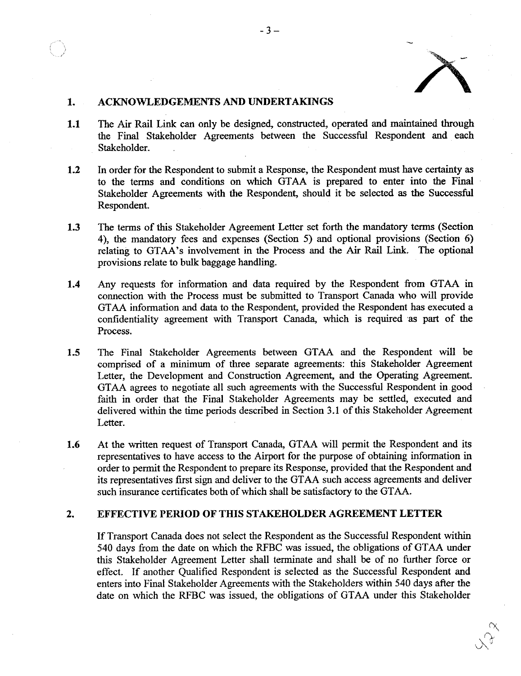

#### **ACKNOWLEDGEMENTS AND UNDERTAKINGS**  $1<sub>1</sub>$

- The Air Rail Link can only be designed, constructed, operated and maintained through  $1.1$ the Final Stakeholder Agreements between the Successful Respondent and each Stakeholder.
- $1.2$ In order for the Respondent to submit a Response, the Respondent must have certainty as to the terms and conditions on which GTAA is prepared to enter into the Final Stakeholder Agreements with the Respondent, should it be selected as the Successful Respondent.
- 1.3 The terms of this Stakeholder Agreement Letter set forth the mandatory terms (Section 4), the mandatory fees and expenses (Section 5) and optional provisions (Section 6) relating to GTAA's involvement in the Process and the Air Rail Link. The optional provisions relate to bulk baggage handling.
- $1.4$ Any requests for information and data required by the Respondent from GTAA in connection with the Process must be submitted to Transport Canada who will provide GTAA information and data to the Respondent, provided the Respondent has executed a confidentiality agreement with Transport Canada, which is required as part of the Process.
- 1.5 The Final Stakeholder Agreements between GTAA and the Respondent will be comprised of a minimum of three separate agreements: this Stakeholder Agreement Letter, the Development and Construction Agreement, and the Operating Agreement. GTAA agrees to negotiate all such agreements with the Successful Respondent in good faith in order that the Final Stakeholder Agreements may be settled, executed and delivered within the time periods described in Section 3.1 of this Stakeholder Agreement Letter.
- 1.6 At the written request of Transport Canada, GTAA will permit the Respondent and its representatives to have access to the Airport for the purpose of obtaining information in order to permit the Respondent to prepare its Response, provided that the Respondent and its representatives first sign and deliver to the GTAA such access agreements and deliver such insurance certificates both of which shall be satisfactory to the GTAA.

#### **EFFECTIVE PERIOD OF THIS STAKEHOLDER AGREEMENT LETTER**  $2.$

If Transport Canada does not select the Respondent as the Successful Respondent within 540 days from the date on which the RFBC was issued, the obligations of GTAA under this Stakeholder Agreement Letter shall terminate and shall be of no further force or effect. If another Qualified Respondent is selected as the Successful Respondent and enters into Final Stakeholder Agreements with the Stakeholders within 540 days after the date on which the RFBC was issued, the obligations of GTAA under this Stakeholder